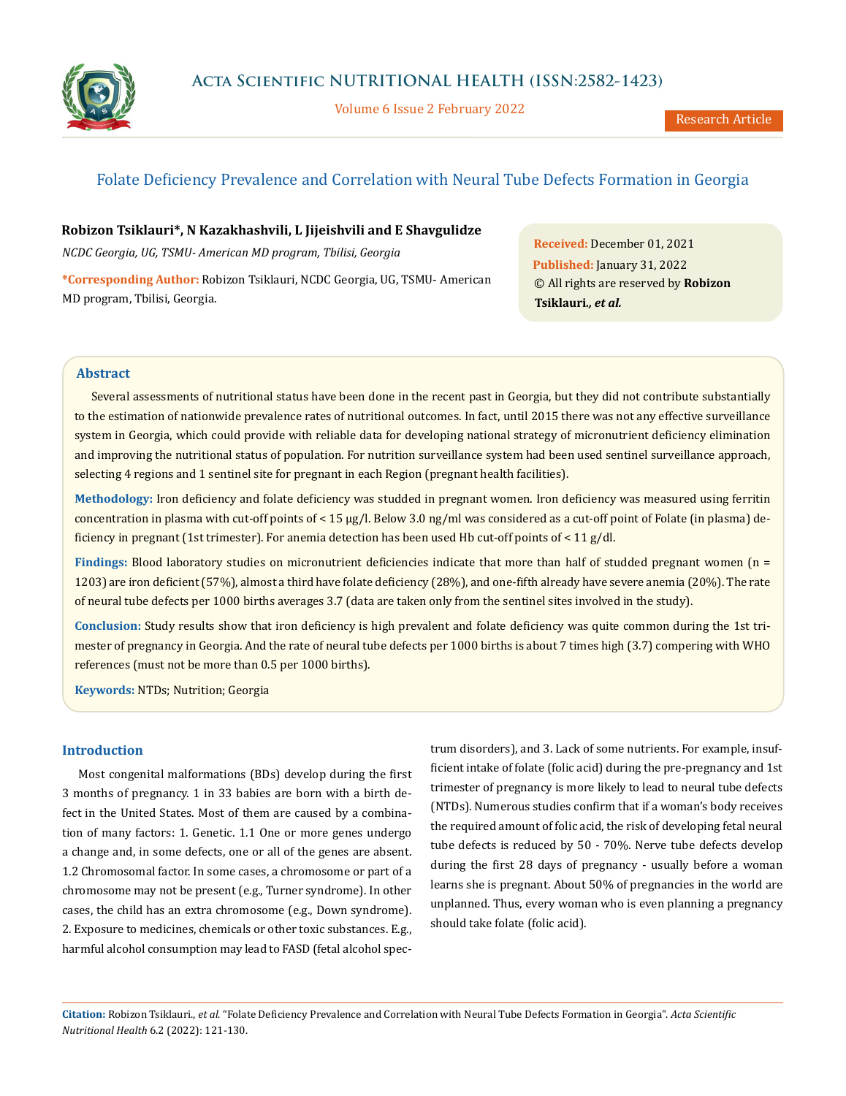

Volume 6 Issue 2 February 2022

# Folate Deficiency Prevalence and Correlation with Neural Tube Defects Formation in Georgia

**Robizon Tsiklauri\*, N Kazakhashvili, L Jijeishvili and E Shavgulidze**

*NCDC Georgia, UG, TSMU- American MD program, Tbilisi, Georgia*

**\*Corresponding Author:** Robizon Tsiklauri, NCDC Georgia, UG, TSMU- American MD program, Tbilisi, Georgia.

**Received:** December 01, 2021 **Published:** January 31, 2022 © All rights are reserved by **Robizon Tsiklauri***., et al.*

## **Abstract**

Several assessments of nutritional status have been done in the recent past in Georgia, but they did not contribute substantially to the estimation of nationwide prevalence rates of nutritional outcomes. In fact, until 2015 there was not any effective surveillance system in Georgia, which could provide with reliable data for developing national strategy of micronutrient deficiency elimination and improving the nutritional status of population. For nutrition surveillance system had been used sentinel surveillance approach, selecting 4 regions and 1 sentinel site for pregnant in each Region (pregnant health facilities).

**Methodology:** Iron deficiency and folate deficiency was studded in pregnant women. Iron deficiency was measured using ferritin concentration in plasma with cut-off points of < 15 μg/l. Below 3.0 ng/ml was considered as a cut-off point of Folate (in plasma) deficiency in pregnant (1st trimester). For anemia detection has been used Hb cut-off points of < 11 g/dl.

**Findings:** Blood laboratory studies on micronutrient deficiencies indicate that more than half of studded pregnant women (n = 1203) are iron deficient (57%), almost a third have folate deficiency (28%), and one-fifth already have severe anemia (20%). The rate of neural tube defects per 1000 births averages 3.7 (data are taken only from the sentinel sites involved in the study).

**Conclusion:** Study results show that iron deficiency is high prevalent and folate deficiency was quite common during the 1st trimester of pregnancy in Georgia. And the rate of neural tube defects per 1000 births is about 7 times high (3.7) compering with WHO references (must not be more than 0.5 per 1000 births).

**Keywords:** NTDs; Nutrition; Georgia

## **Introduction**

Most congenital malformations (BDs) develop during the first 3 months of pregnancy. 1 in 33 babies are born with a birth defect in the United States. Most of them are caused by a combination of many factors: 1. Genetic. 1.1 One or more genes undergo a change and, in some defects, one or all of the genes are absent. 1.2 Chromosomal factor. In some cases, a chromosome or part of a chromosome may not be present (e.g., Turner syndrome). In other cases, the child has an extra chromosome (e.g., Down syndrome). 2. Exposure to medicines, chemicals or other toxic substances. E.g., harmful alcohol consumption may lead to FASD (fetal alcohol spectrum disorders), and 3. Lack of some nutrients. For example, insufficient intake of folate (folic acid) during the pre-pregnancy and 1st trimester of pregnancy is more likely to lead to neural tube defects (NTDs). Numerous studies confirm that if a woman's body receives the required amount of folic acid, the risk of developing fetal neural tube defects is reduced by 50 - 70%. Nerve tube defects develop during the first 28 days of pregnancy - usually before a woman learns she is pregnant. About 50% of pregnancies in the world are unplanned. Thus, every woman who is even planning a pregnancy should take folate (folic acid).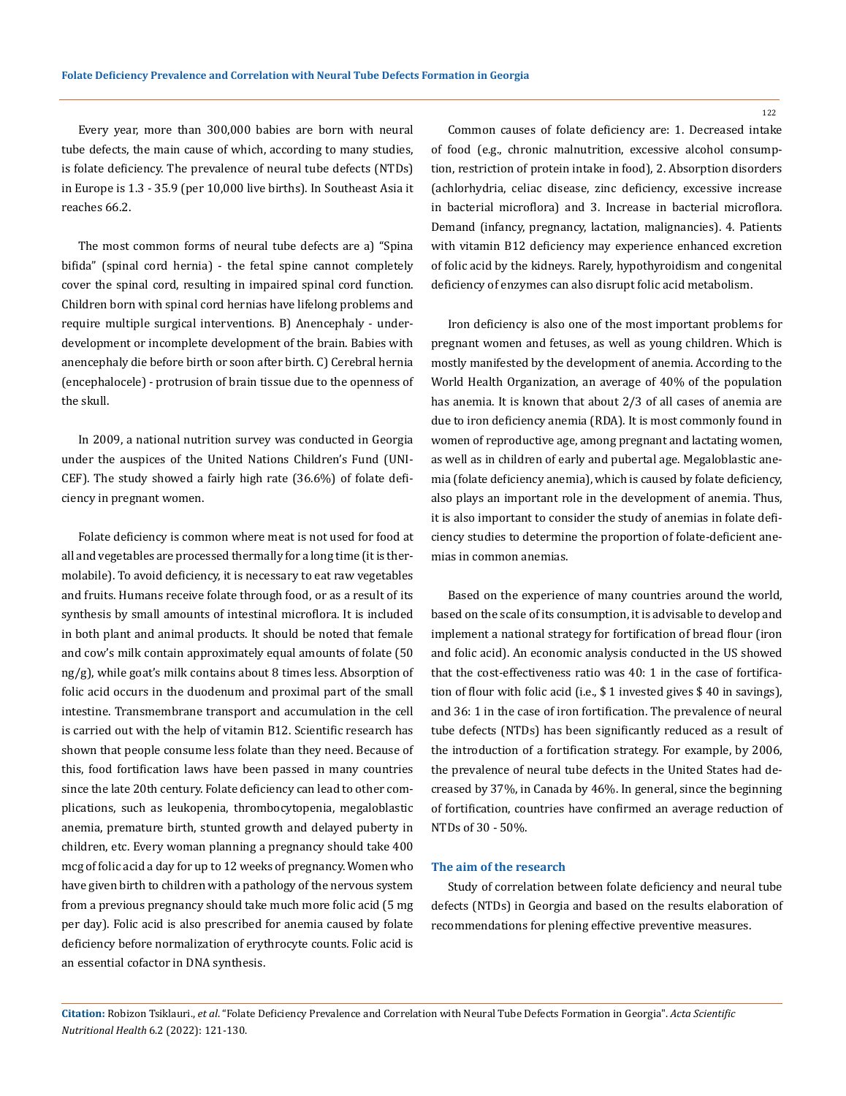Every year, more than 300,000 babies are born with neural tube defects, the main cause of which, according to many studies, is folate deficiency. The prevalence of neural tube defects (NTDs) in Europe is 1.3 - 35.9 (per 10,000 live births). In Southeast Asia it reaches 66.2.

The most common forms of neural tube defects are a) "Spina bifida" (spinal cord hernia) - the fetal spine cannot completely cover the spinal cord, resulting in impaired spinal cord function. Children born with spinal cord hernias have lifelong problems and require multiple surgical interventions. B) Anencephaly - underdevelopment or incomplete development of the brain. Babies with anencephaly die before birth or soon after birth. C) Cerebral hernia (encephalocele) - protrusion of brain tissue due to the openness of the skull.

In 2009, a national nutrition survey was conducted in Georgia under the auspices of the United Nations Children's Fund (UNI-CEF). The study showed a fairly high rate (36.6%) of folate deficiency in pregnant women.

Folate deficiency is common where meat is not used for food at all and vegetables are processed thermally for a long time (it is thermolabile). To avoid deficiency, it is necessary to eat raw vegetables and fruits. Humans receive folate through food, or as a result of its synthesis by small amounts of intestinal microflora. It is included in both plant and animal products. It should be noted that female and cow's milk contain approximately equal amounts of folate (50 ng/g), while goat's milk contains about 8 times less. Absorption of folic acid occurs in the duodenum and proximal part of the small intestine. Transmembrane transport and accumulation in the cell is carried out with the help of vitamin B12. Scientific research has shown that people consume less folate than they need. Because of this, food fortification laws have been passed in many countries since the late 20th century. Folate deficiency can lead to other complications, such as leukopenia, thrombocytopenia, megaloblastic anemia, premature birth, stunted growth and delayed puberty in children, etc. Every woman planning a pregnancy should take 400 mcg of folic acid a day for up to 12 weeks of pregnancy. Women who have given birth to children with a pathology of the nervous system from a previous pregnancy should take much more folic acid (5 mg per day). Folic acid is also prescribed for anemia caused by folate deficiency before normalization of erythrocyte counts. Folic acid is an essential cofactor in DNA synthesis.

Common causes of folate deficiency are: 1. Decreased intake of food (e.g., chronic malnutrition, excessive alcohol consumption, restriction of protein intake in food), 2. Absorption disorders (achlorhydria, celiac disease, zinc deficiency, excessive increase in bacterial microflora) and 3. Increase in bacterial microflora. Demand (infancy, pregnancy, lactation, malignancies). 4. Patients with vitamin B12 deficiency may experience enhanced excretion of folic acid by the kidneys. Rarely, hypothyroidism and congenital deficiency of enzymes can also disrupt folic acid metabolism.

Iron deficiency is also one of the most important problems for pregnant women and fetuses, as well as young children. Which is mostly manifested by the development of anemia. According to the World Health Organization, an average of 40% of the population has anemia. It is known that about 2/3 of all cases of anemia are due to iron deficiency anemia (RDA). It is most commonly found in women of reproductive age, among pregnant and lactating women, as well as in children of early and pubertal age. Megaloblastic anemia (folate deficiency anemia), which is caused by folate deficiency, also plays an important role in the development of anemia. Thus, it is also important to consider the study of anemias in folate deficiency studies to determine the proportion of folate-deficient anemias in common anemias.

Based on the experience of many countries around the world, based on the scale of its consumption, it is advisable to develop and implement a national strategy for fortification of bread flour (iron and folic acid). An economic analysis conducted in the US showed that the cost-effectiveness ratio was 40: 1 in the case of fortification of flour with folic acid (i.e., \$ 1 invested gives \$ 40 in savings), and 36: 1 in the case of iron fortification. The prevalence of neural tube defects (NTDs) has been significantly reduced as a result of the introduction of a fortification strategy. For example, by 2006, the prevalence of neural tube defects in the United States had decreased by 37%, in Canada by 46%. In general, since the beginning of fortification, countries have confirmed an average reduction of NTDs of 30 - 50%.

#### **The aim of the research**

Study of correlation between folate deficiency and neural tube defects (NTDs) in Georgia and based on the results elaboration of recommendations for plening effective preventive measures.

**Citation:** Robizon Tsiklauri., *et al*. "Folate Deficiency Prevalence and Correlation with Neural Tube Defects Formation in Georgia". *Acta Scientific Nutritional Health* 6.2 (2022): 121-130.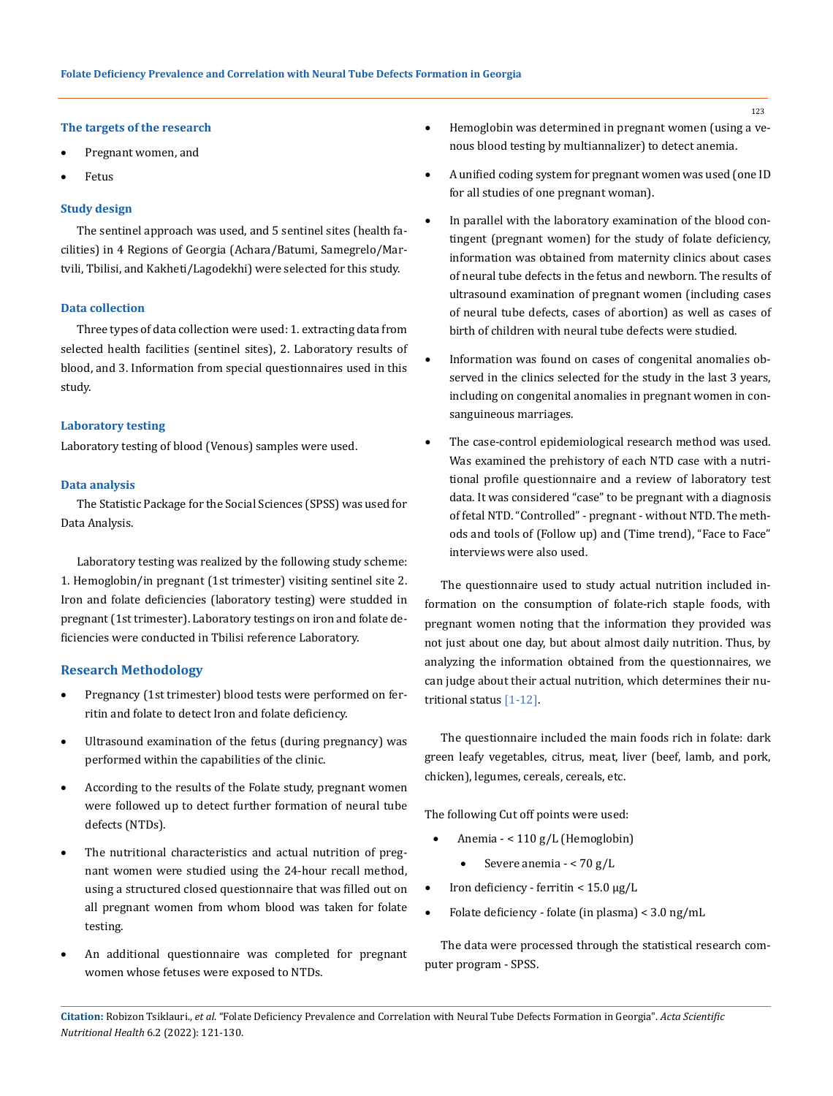#### **The targets of the research**

- Pregnant women, and
- **Fetus**

#### **Study design**

The sentinel approach was used, and 5 sentinel sites (health facilities) in 4 Regions of Georgia (Achara/Batumi, Samegrelo/Martvili, Tbilisi, and Kakheti/Lagodekhi) were selected for this study.

### **Data collection**

Three types of data collection were used: 1. extracting data from selected health facilities (sentinel sites), 2. Laboratory results of blood, and 3. Information from special questionnaires used in this study.

#### **Laboratory testing**

Laboratory testing of blood (Venous) samples were used.

#### **Data analysis**

The Statistic Package for the Social Sciences (SPSS) was used for Data Analysis.

Laboratory testing was realized by the following study scheme: 1. Hemoglobin/in pregnant (1st trimester) visiting sentinel site 2. Iron and folate deficiencies (laboratory testing) were studded in pregnant (1st trimester). Laboratory testings on iron and folate deficiencies were conducted in Tbilisi reference Laboratory.

### **Research Methodology**

- Pregnancy (1st trimester) blood tests were performed on ferritin and folate to detect Iron and folate deficiency.
- Ultrasound examination of the fetus (during pregnancy) was performed within the capabilities of the clinic.
- • According to the results of the Folate study, pregnant women were followed up to detect further formation of neural tube defects (NTDs).
- The nutritional characteristics and actual nutrition of pregnant women were studied using the 24-hour recall method, using a structured closed questionnaire that was filled out on all pregnant women from whom blood was taken for folate testing.
- An additional questionnaire was completed for pregnant women whose fetuses were exposed to NTDs.
- Hemoglobin was determined in pregnant women (using a venous blood testing by multiannalizer) to detect anemia.
- A unified coding system for pregnant women was used (one ID for all studies of one pregnant woman).
- In parallel with the laboratory examination of the blood contingent (pregnant women) for the study of folate deficiency, information was obtained from maternity clinics about cases of neural tube defects in the fetus and newborn. The results of ultrasound examination of pregnant women (including cases of neural tube defects, cases of abortion) as well as cases of birth of children with neural tube defects were studied.
- Information was found on cases of congenital anomalies observed in the clinics selected for the study in the last 3 years, including on congenital anomalies in pregnant women in consanguineous marriages.
- The case-control epidemiological research method was used. Was examined the prehistory of each NTD case with a nutritional profile questionnaire and a review of laboratory test data. It was considered "case" to be pregnant with a diagnosis of fetal NTD. "Controlled" - pregnant - without NTD. The methods and tools of (Follow up) and (Time trend), "Face to Face" interviews were also used.

The questionnaire used to study actual nutrition included information on the consumption of folate-rich staple foods, with pregnant women noting that the information they provided was not just about one day, but about almost daily nutrition. Thus, by analyzing the information obtained from the questionnaires, we can judge about their actual nutrition, which determines their nutritional status [1-12].

The questionnaire included the main foods rich in folate: dark green leafy vegetables, citrus, meat, liver (beef, lamb, and pork, chicken), legumes, cereals, cereals, etc.

The following Cut off points were used:

- Anemia < 110 g/L (Hemoglobin)
	- Severe anemia <  $70 g/L$
- Iron deficiency ferritin <  $15.0 \mu g/L$
- Folate deficiency folate (in plasma) <  $3.0 \text{ ng/mL}$

The data were processed through the statistical research computer program - SPSS.

**Citation:** Robizon Tsiklauri., *et al*. "Folate Deficiency Prevalence and Correlation with Neural Tube Defects Formation in Georgia". *Acta Scientific Nutritional Health* 6.2 (2022): 121-130.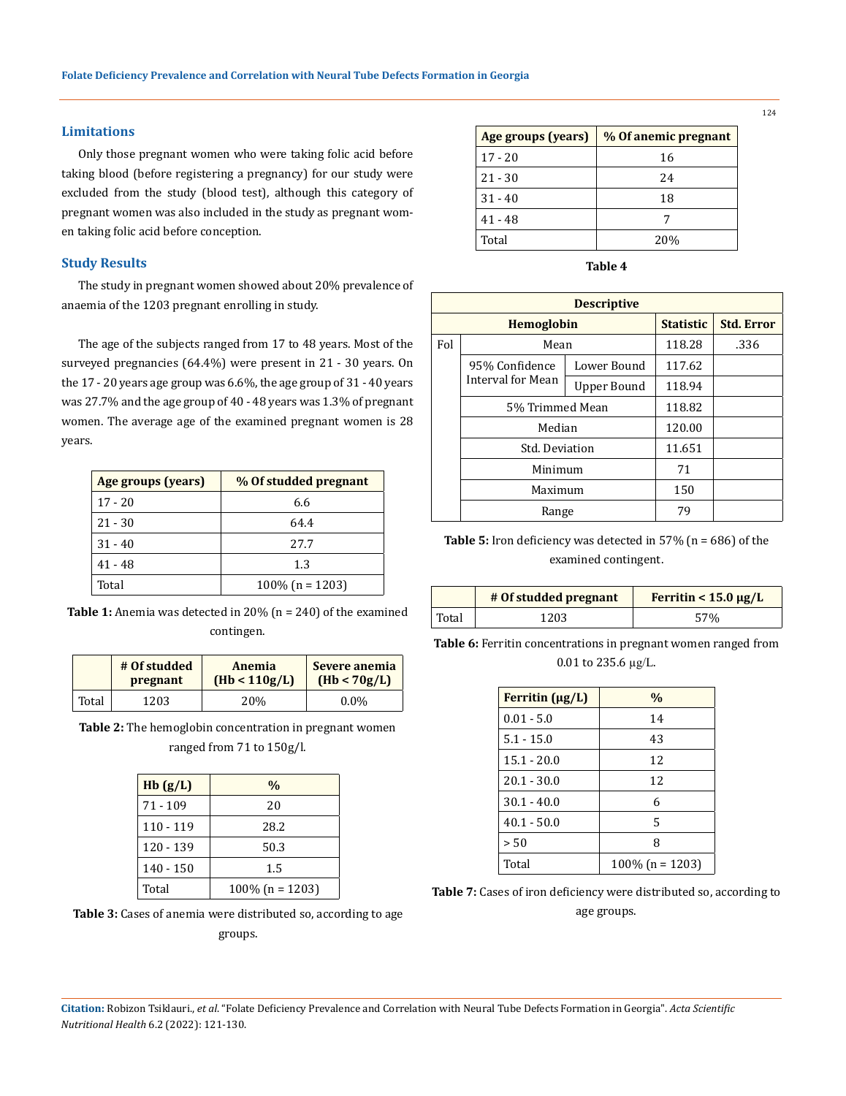#### **Limitations**

Only those pregnant women who were taking folic acid before taking blood (before registering a pregnancy) for our study were excluded from the study (blood test), although this category of pregnant women was also included in the study as pregnant women taking folic acid before conception.

#### **Study Results**

The study in pregnant women showed about 20% prevalence of anaemia of the 1203 pregnant enrolling in study.

The age of the subjects ranged from 17 to 48 years. Most of the surveyed pregnancies (64.4%) were present in 21 - 30 years. On the 17 - 20 years age group was 6.6%, the age group of 31 - 40 years was 27.7% and the age group of 40 - 48 years was 1.3% of pregnant women. The average age of the examined pregnant women is 28 years.

| Age groups (years) | % Of studded pregnant |
|--------------------|-----------------------|
| $17 - 20$          | 6.6                   |
| $21 - 30$          | 64.4                  |
| $31 - 40$          | 27.7                  |
| $41 - 48$          | 1.3                   |
| Total              | $100\%$ (n = 1203)    |

**Table 1:** Anemia was detected in 20% (n = 240) of the examined contingen.

|       | # Of studded | Anemia        | Severe anemia |
|-------|--------------|---------------|---------------|
|       | pregnant     | (Hb < 110g/L) | (Hb < 70g/L)  |
| Total | 1203         | 20%           | $0.0\%$       |

**Table 2:** The hemoglobin concentration in pregnant women ranged from 71 to 150g/l.

| Hb(g/L)   | $\frac{0}{0}$      |
|-----------|--------------------|
| 71 - 109  | 20                 |
| 110 - 119 | 28.2               |
| 120 - 139 | 50.3               |
| 140 - 150 | 1.5                |
| Total     | $100\%$ (n = 1203) |

**Table 3:** Cases of anemia were distributed so, according to age groups.

| Age groups (years) | % Of anemic pregnant |
|--------------------|----------------------|
| $17 - 20$          | 16                   |
| $21 - 30$          | 24                   |
| $31 - 40$          | 18                   |
| 41 - 48            |                      |
| Total              | 20\%                 |

**Table 4**

| <b>Descriptive</b> |                   |             |                  |                   |
|--------------------|-------------------|-------------|------------------|-------------------|
|                    | <b>Hemoglobin</b> |             | <b>Statistic</b> | <b>Std. Error</b> |
| Fol                | Mean              |             | 118.28           | .336              |
|                    | 95% Confidence    | Lower Bound | 117.62           |                   |
|                    | Interval for Mean | Upper Bound | 118.94           |                   |
|                    | 5% Trimmed Mean   |             | 118.82           |                   |
|                    | Median            |             | 120.00           |                   |
|                    | Std. Deviation    |             | 11.651           |                   |
|                    | Minimum           |             | 71               |                   |
|                    | Maximum           |             | 150              |                   |
|                    | Range             |             | 79               |                   |

**Table 5:** Iron deficiency was detected in 57% (n = 686) of the examined contingent.

|       | # Of studded pregnant | Ferritin $< 15.0 \mu g/L$ |
|-------|-----------------------|---------------------------|
| Total | 1203                  | 57%                       |

**Table 6:** Ferritin concentrations in pregnant women ranged from 0.01 to 235.6 µg/L.

| Ferritin $(\mu g/L)$ | $\frac{0}{0}$      |
|----------------------|--------------------|
| $0.01 - 5.0$         | 14                 |
| $5.1 - 15.0$         | 43                 |
| $15.1 - 20.0$        | 12                 |
| $20.1 - 30.0$        | 12                 |
| $30.1 - 40.0$        | 6                  |
| $40.1 - 50.0$        | 5                  |
| > 50                 | 8                  |
| Total                | $100\%$ (n = 1203) |

**Table 7:** Cases of iron deficiency were distributed so, according to

age groups.

**Citation:** Robizon Tsiklauri., *et al*. "Folate Deficiency Prevalence and Correlation with Neural Tube Defects Formation in Georgia". *Acta Scientific Nutritional Health* 6.2 (2022): 121-130.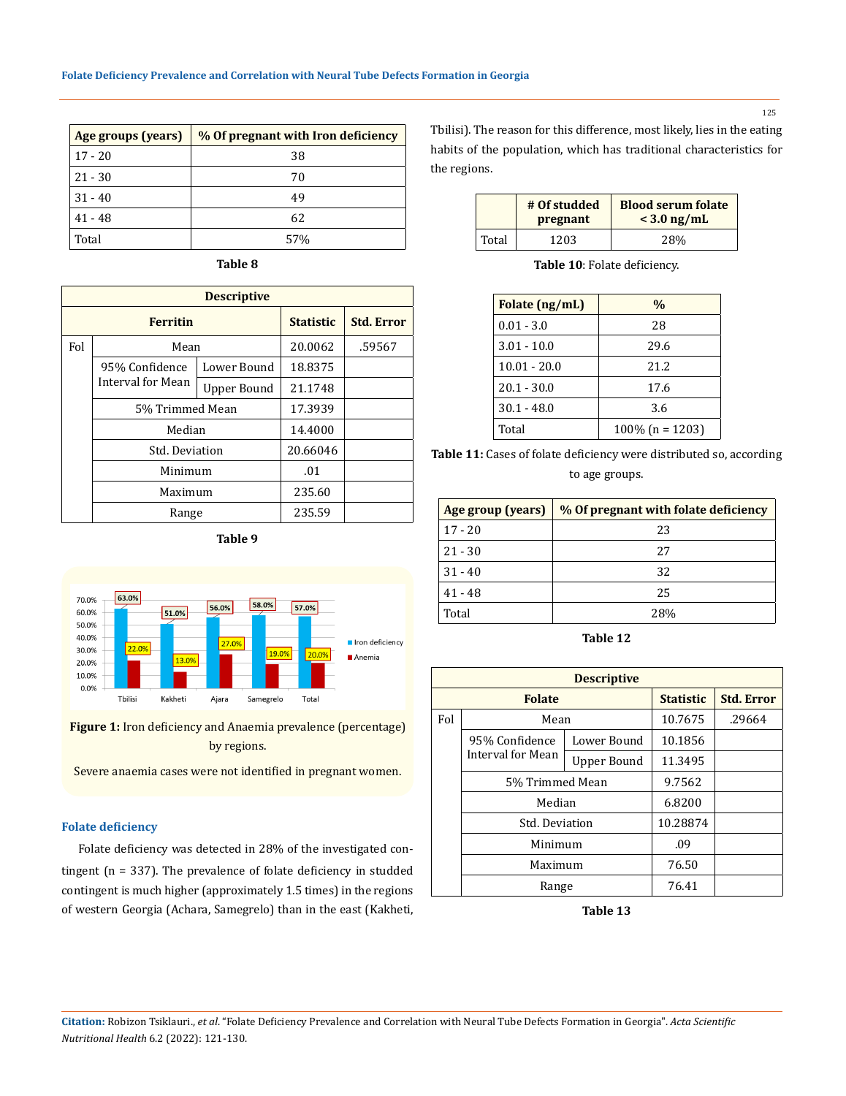| Age groups (years) | % Of pregnant with Iron deficiency |
|--------------------|------------------------------------|
| $17 - 20$          | 38                                 |
| $21 - 30$          | 70                                 |
| $31 - 40$          | 49                                 |
| $41 - 48$          | 62                                 |
| Total              | 57%                                |

| Table 8 |
|---------|
|---------|

| <b>Descriptive</b> |                   |             |                  |                   |
|--------------------|-------------------|-------------|------------------|-------------------|
|                    | <b>Ferritin</b>   |             | <b>Statistic</b> | <b>Std. Error</b> |
| Fol                | Mean              |             | 20.0062          | .59567            |
|                    | 95% Confidence    | Lower Bound | 18.8375          |                   |
|                    | Interval for Mean | Upper Bound | 21.1748          |                   |
|                    | 5% Trimmed Mean   |             | 17.3939          |                   |
|                    | Median            |             | 14.4000          |                   |
|                    | Std. Deviation    |             | 20.66046         |                   |
|                    | Minimum           |             | .01              |                   |
|                    | Maximum           |             | 235.60           |                   |
|                    | Range             |             | 235.59           |                   |

**Table 9**





Severe anaemia cases were not identified in pregnant women.

#### **Folate deficiency**

Folate deficiency was detected in 28% of the investigated contingent (n = 337). The prevalence of folate deficiency in studded contingent is much higher (approximately 1.5 times) in the regions of western Georgia (Achara, Samegrelo) than in the east (Kakheti, Tbilisi). The reason for this difference, most likely, lies in the eating habits of the population, which has traditional characteristics for the regions.

|       | # Of studded<br>pregnant | <b>Blood serum folate</b><br>$<$ 3.0 ng/mL |
|-------|--------------------------|--------------------------------------------|
| Total | 1203                     | 28%                                        |

**Table 10**: Folate deficiency.

| Folate (ng/mL) | $\frac{0}{0}$      |
|----------------|--------------------|
| $0.01 - 3.0$   | 28                 |
| $3.01 - 10.0$  | 29.6               |
| $10.01 - 20.0$ | 21.2               |
| $20.1 - 30.0$  | 17.6               |
| $30.1 - 48.0$  | 3.6                |
| Total          | $100\%$ (n = 1203) |

**Table 11:** Cases of folate deficiency were distributed so, according to age groups.

| Age group (years) | % Of pregnant with folate deficiency |
|-------------------|--------------------------------------|
| $17 - 20$         | 23                                   |
| $21 - 30$         | 27                                   |
| $31 - 40$         | 32                                   |
| $41 - 48$         | 25                                   |
| Total             | 28%                                  |

**Table 12**

|     | <b>Descriptive</b>                                      |                  |                   |        |  |  |
|-----|---------------------------------------------------------|------------------|-------------------|--------|--|--|
|     | <b>Folate</b>                                           | <b>Statistic</b> | <b>Std. Error</b> |        |  |  |
| Fol | Mean                                                    |                  | 10.7675           | .29664 |  |  |
|     | 95% Confidence                                          | Lower Bound      | 10.1856           |        |  |  |
|     | Interval for Mean                                       | Upper Bound      | 11.3495           |        |  |  |
|     | 5% Trimmed Mean                                         |                  | 9.7562            |        |  |  |
|     | Median<br>Std. Deviation<br>Minimum<br>Maximum<br>Range |                  | 6.8200            |        |  |  |
|     |                                                         |                  | 10.28874          |        |  |  |
|     |                                                         |                  | .09               |        |  |  |
|     |                                                         |                  | 76.50             |        |  |  |
|     |                                                         |                  | 76.41             |        |  |  |

**Table 13**

125

**Citation:** Robizon Tsiklauri., *et al*. "Folate Deficiency Prevalence and Correlation with Neural Tube Defects Formation in Georgia". *Acta Scientific Nutritional Health* 6.2 (2022): 121-130.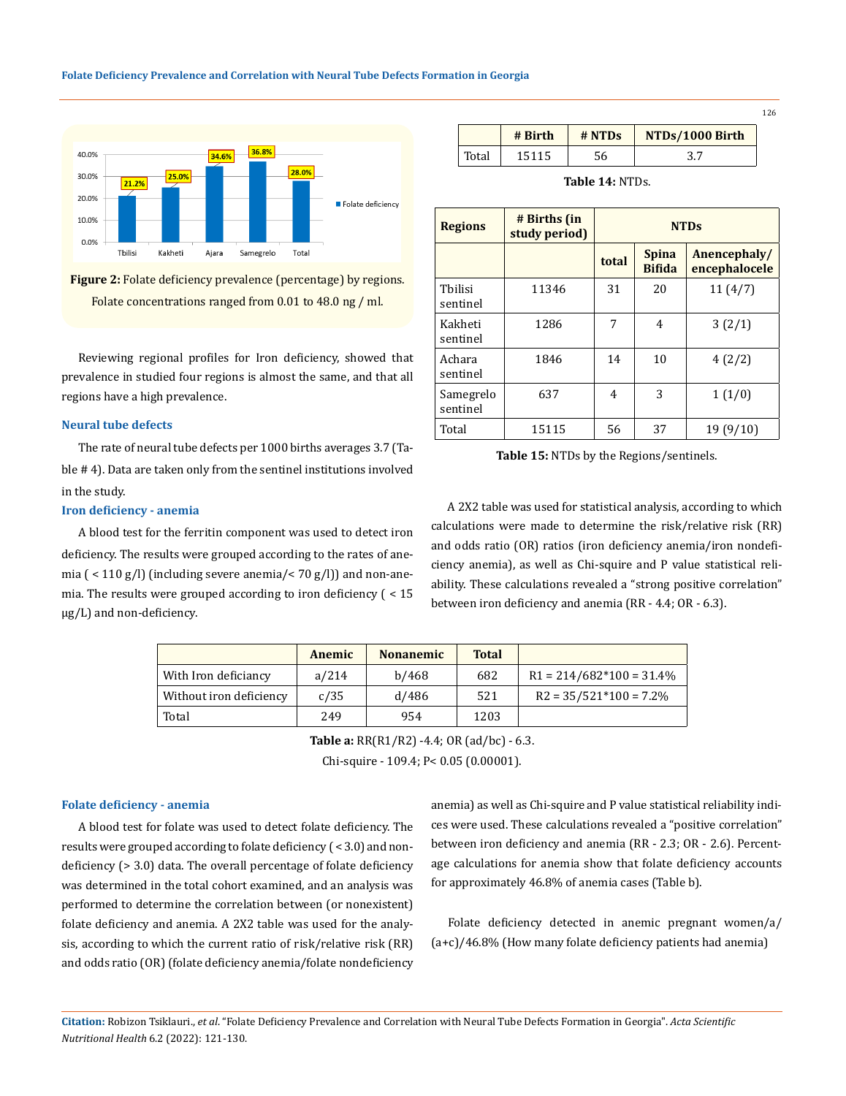



Reviewing regional profiles for Iron deficiency, showed that prevalence in studied four regions is almost the same, and that all regions have a high prevalence.

### **Neural tube defects**

The rate of neural tube defects per 1000 births averages 3.7 (Table # 4). Data are taken only from the sentinel institutions involved in the study.

#### **Iron deficiency - anemia**

A blood test for the ferritin component was used to detect iron deficiency. The results were grouped according to the rates of anemia  $($  < 110 g/l) (including severe anemia/< 70 g/l)) and non-anemia. The results were grouped according to iron deficiency ( < 15 µg/L) and non-deficiency.

|       | # Birth | # NTDS | NTDs/1000 Birth |
|-------|---------|--------|-----------------|
| Total | 15115   | 56     |                 |

| <b>Regions</b>        | # Births (in<br>study period) | <b>NTDs</b> |                               |                               |  |
|-----------------------|-------------------------------|-------------|-------------------------------|-------------------------------|--|
|                       |                               | total       | <b>Spina</b><br><b>Bifida</b> | Anencephaly/<br>encephalocele |  |
| Thilisi<br>sentinel   | 11346                         | 31          | 20                            | 11(4/7)                       |  |
| Kakheti<br>sentinel   | 1286                          | 7           | 4                             | 3(2/1)                        |  |
| Achara<br>sentinel    | 1846                          | 14          | 10                            | 4(2/2)                        |  |
| Samegrelo<br>sentinel | 637                           | 4           | 3                             | 1(1/0)                        |  |
| Total                 | 15115                         | 56          | 37                            | 19(9/10)                      |  |

**Table 15:** NTDs by the Regions/sentinels.

A 2X2 table was used for statistical analysis, according to which calculations were made to determine the risk/relative risk (RR) and odds ratio (OR) ratios (iron deficiency anemia/iron nondeficiency anemia), as well as Chi-squire and P value statistical reliability. These calculations revealed a "strong positive correlation" between iron deficiency and anemia (RR - 4.4; OR - 6.3).

|                         | Anemic | <b>Nonanemic</b> | <b>Total</b> |                            |
|-------------------------|--------|------------------|--------------|----------------------------|
| With Iron deficiancy    | a/214  | b/468            | 682          | $R1 = 214/682*100 = 31.4%$ |
| Without iron deficiency | c/35   | d/486            | 521          | $R2 = 35/521*100 = 7.2%$   |
| Total                   | 249    | 954              | 1203         |                            |

**Table a:** RR(R1/R2) -4.4; OR (ad/bc) - 6.3.

Chi-squire - 109.4; P< 0.05 (0.00001).

#### **Folate deficiency - anemia**

A blood test for folate was used to detect folate deficiency. The results were grouped according to folate deficiency ( < 3.0) and nondeficiency (> 3.0) data. The overall percentage of folate deficiency was determined in the total cohort examined, and an analysis was performed to determine the correlation between (or nonexistent) folate deficiency and anemia. A 2X2 table was used for the analysis, according to which the current ratio of risk/relative risk (RR) and odds ratio (OR) (folate deficiency anemia/folate nondeficiency anemia) as well as Chi-squire and P value statistical reliability indices were used. These calculations revealed a "positive correlation" between iron deficiency and anemia (RR - 2.3; OR - 2.6). Percentage calculations for anemia show that folate deficiency accounts for approximately 46.8% of anemia cases (Table b).

Folate deficiency detected in anemic pregnant women/a/ (a+c)/46.8% (How many folate deficiency patients had anemia)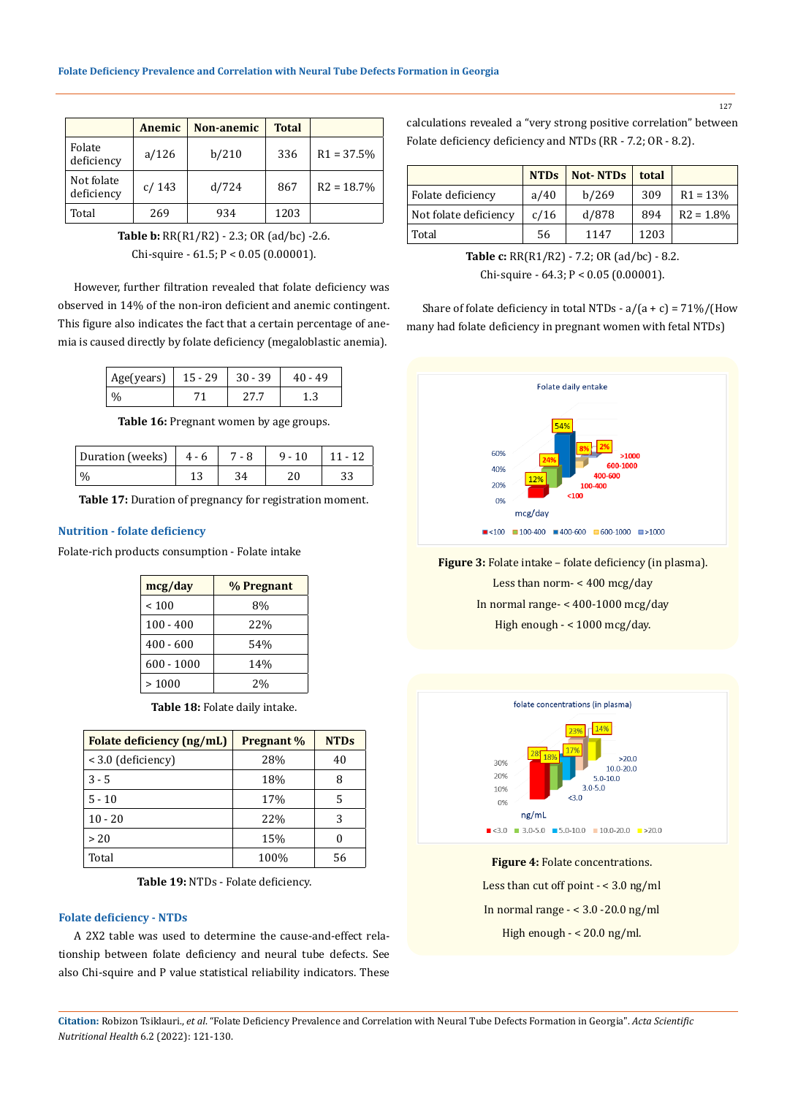|                          | Anemic | Non-anemic | <b>Total</b> |               |
|--------------------------|--------|------------|--------------|---------------|
| Folate<br>deficiency     | a/126  | b/210      | 336          | $R1 = 37.5%$  |
| Not folate<br>deficiency | c/143  | d/724      | 867          | $R2 = 18.7\%$ |
| Total                    | 269    | 934        | 1203         |               |

**Table b:** RR(R1/R2) - 2.3; OR (ad/bc) -2.6. Chi-squire - 61.5; P < 0.05 (0.00001).

However, further filtration revealed that folate deficiency was observed in 14% of the non-iron deficient and anemic contingent. This figure also indicates the fact that a certain percentage of anemia is caused directly by folate deficiency (megaloblastic anemia).

| $\vert$ Age(years) $\vert$ 15 - 29 | 30 - 39                | 40 - 49 |
|------------------------------------|------------------------|---------|
|                                    | $\mathcal{L}^{\prime}$ |         |

**Table 16:** Pregnant women by age groups.

| Duration (weeks) $ 4-6$ | 7 - 8 | $9 - 10$ | $11 - 12$ |
|-------------------------|-------|----------|-----------|
|                         |       |          |           |

**Table 17:** Duration of pregnancy for registration moment.

### **Nutrition - folate deficiency**

Folate-rich products consumption - Folate intake

| mcg/day      | % Pregnant |
|--------------|------------|
| ~100         | 8%         |
| $100 - 400$  | 22%        |
| $400 - 600$  | 54%        |
| $600 - 1000$ | 14%        |
| >1000        | 2%         |

**Table 18:** Folate daily intake.

| Folate deficiency (ng/mL) | <b>Pregnant</b> % | <b>NTDs</b> |
|---------------------------|-------------------|-------------|
| < 3.0 (deficiency)        | 28%               | 40          |
| $3 - 5$                   | 18%               | 8           |
| $5 - 10$                  | 17%               | 5           |
| $10 - 20$                 | 22%               | 3           |
| > 20                      | 15%               |             |
| Total                     | 100%              | 56          |

**Table 19:** NTDs - Folate deficiency.

## **Folate deficiency - NTDs**

A 2X2 table was used to determine the cause-and-effect relationship between folate deficiency and neural tube defects. See also Chi-squire and P value statistical reliability indicators. These calculations revealed a "very strong positive correlation" between Folate deficiency deficiency and NTDs (RR - 7.2; OR - 8.2).

|                       | <b>NTDs</b> | <b>Not-NTDs</b> | total |              |
|-----------------------|-------------|-----------------|-------|--------------|
| Folate deficiency     | a/40        | b/269           | 309   | $R1 = 13%$   |
| Not folate deficiency | c/16        | d/878           | 894   | $R2 = 1.8\%$ |
| Total                 | 56          | 1147            | 1203  |              |

**Table c:** RR(R1/R2) - 7.2; OR (ad/bc) - 8.2. Chi-squire - 64.3; P < 0.05 (0.00001).

Share of folate deficiency in total NTDs -  $a/(a + c) = 71\% / (How$ many had folate deficiency in pregnant women with fetal NTDs)



**Figure 3:** Folate intake – folate deficiency (in plasma).

Less than norm- < 400 mcg/day In normal range- < 400-1000 mcg/day High enough - < 1000 mcg/day.



**Figure 4: Folate concentrations.** Less than cut off point  $- < 3.0$  ng/ml In normal range  $- < 3.0 - 20.0$  ng/ml High enough - < 20.0 ng/ml.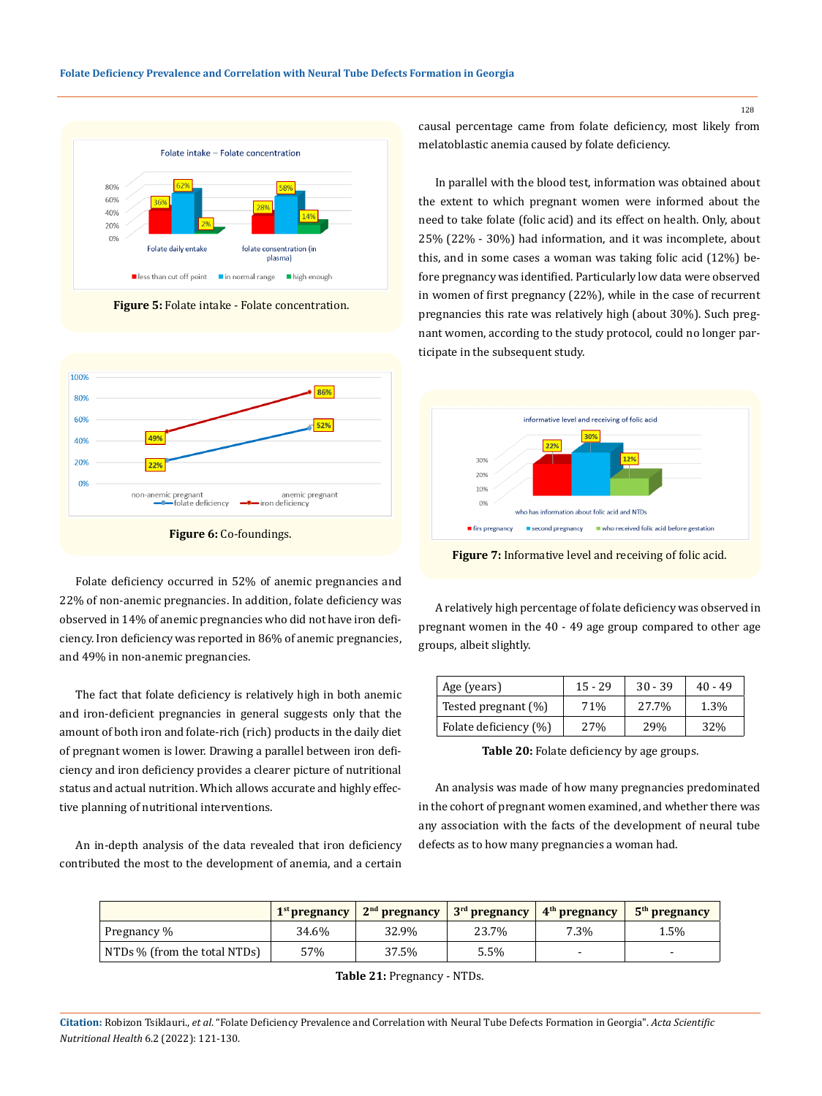

**Figure 5:** Folate intake - Folate concentration.



Folate deficiency occurred in 52% of anemic pregnancies and 22% of non-anemic pregnancies. In addition, folate deficiency was observed in 14% of anemic pregnancies who did not have iron deficiency. Iron deficiency was reported in 86% of anemic pregnancies, and 49% in non-anemic pregnancies.

The fact that folate deficiency is relatively high in both anemic and iron-deficient pregnancies in general suggests only that the amount of both iron and folate-rich (rich) products in the daily diet of pregnant women is lower. Drawing a parallel between iron deficiency and iron deficiency provides a clearer picture of nutritional status and actual nutrition. Which allows accurate and highly effective planning of nutritional interventions.

An in-depth analysis of the data revealed that iron deficiency contributed the most to the development of anemia, and a certain causal percentage came from folate deficiency, most likely from melatoblastic anemia caused by folate deficiency.

In parallel with the blood test, information was obtained about the extent to which pregnant women were informed about the need to take folate (folic acid) and its effect on health. Only, about 25% (22% - 30%) had information, and it was incomplete, about this, and in some cases a woman was taking folic acid (12%) before pregnancy was identified. Particularly low data were observed in women of first pregnancy (22%), while in the case of recurrent pregnancies this rate was relatively high (about 30%). Such pregnant women, according to the study protocol, could no longer participate in the subsequent study.



**Figure 7:** Informative level and receiving of folic acid.

A relatively high percentage of folate deficiency was observed in pregnant women in the 40 - 49 age group compared to other age groups, albeit slightly.

| Age (years)           | $15 - 29$ | $30 - 39$ | $40 - 49$ |
|-----------------------|-----------|-----------|-----------|
| Tested pregnant (%)   | 71%       | 27.7%     | 1.3%      |
| Folate deficiency (%) | 27%       | 29%       | 32%       |

**Table 20:** Folate deficiency by age groups.

An analysis was made of how many pregnancies predominated in the cohort of pregnant women examined, and whether there was any association with the facts of the development of neural tube defects as to how many pregnancies a woman had.

|                              | $1st$ pregnancy | $2nd$ pregnancy | $3rd$ pregnancy | $\vert$ 4 <sup>th</sup> pregnancy | $5th$ pregnancy |
|------------------------------|-----------------|-----------------|-----------------|-----------------------------------|-----------------|
| Pregnancy %                  | 34.6%           | 32.9%           | 23.7%           | 7.3%                              | 1.5%            |
| NTDs % (from the total NTDs) | 57%             | 37.5%           | 5.5%            | $\overline{\phantom{0}}$          | -               |

**Table 21:** Pregnancy - NTDs.

**Citation:** Robizon Tsiklauri., *et al*. "Folate Deficiency Prevalence and Correlation with Neural Tube Defects Formation in Georgia". *Acta Scientific Nutritional Health* 6.2 (2022): 121-130.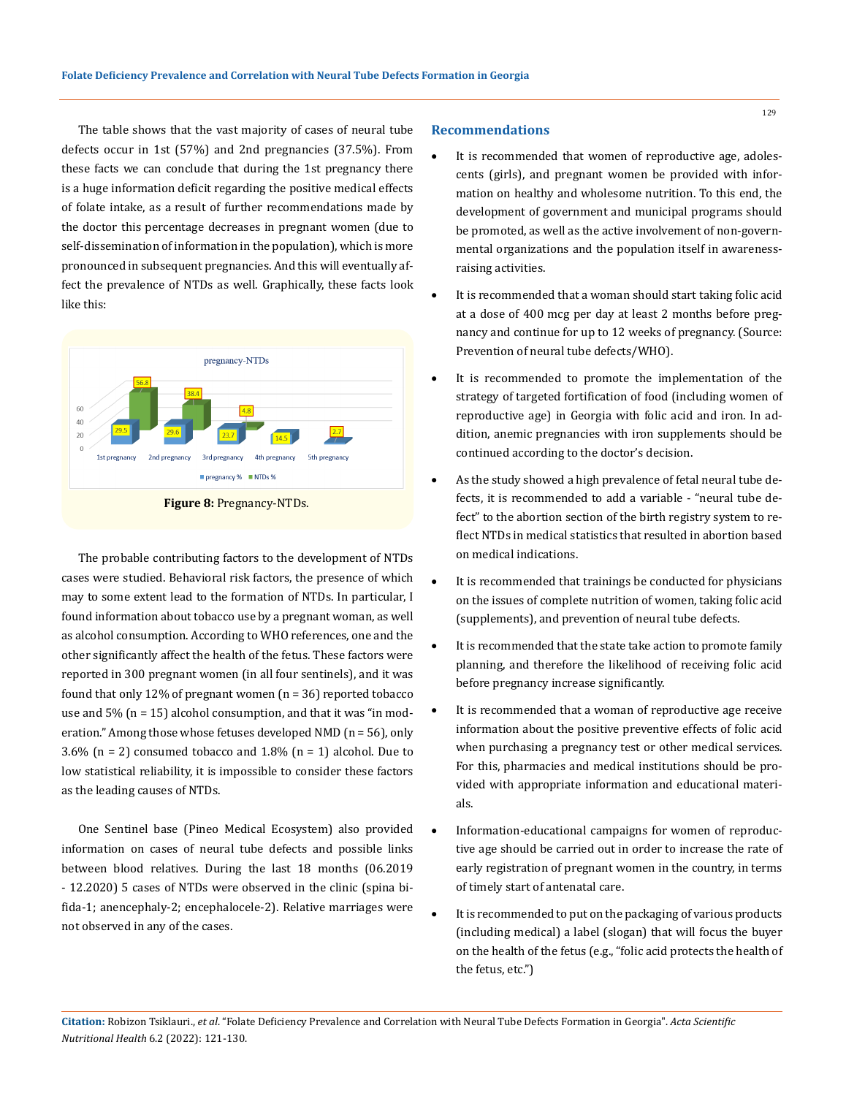The table shows that the vast majority of cases of neural tube defects occur in 1st (57%) and 2nd pregnancies (37.5%). From these facts we can conclude that during the 1st pregnancy there is a huge information deficit regarding the positive medical effects of folate intake, as a result of further recommendations made by the doctor this percentage decreases in pregnant women (due to self-dissemination of information in the population), which is more pronounced in subsequent pregnancies. And this will eventually affect the prevalence of NTDs as well. Graphically, these facts look like this:



**Figure 8:** Pregnancy-NTDs.

The probable contributing factors to the development of NTDs cases were studied. Behavioral risk factors, the presence of which may to some extent lead to the formation of NTDs. In particular, I found information about tobacco use by a pregnant woman, as well as alcohol consumption. According to WHO references, one and the other significantly affect the health of the fetus. These factors were reported in 300 pregnant women (in all four sentinels), and it was found that only 12% of pregnant women (n = 36) reported tobacco use and  $5\%$  (n = 15) alcohol consumption, and that it was "in moderation." Among those whose fetuses developed NMD (n = 56), only 3.6% ( $n = 2$ ) consumed tobacco and 1.8% ( $n = 1$ ) alcohol. Due to low statistical reliability, it is impossible to consider these factors as the leading causes of NTDs.

One Sentinel base (Pineo Medical Ecosystem) also provided information on cases of neural tube defects and possible links between blood relatives. During the last 18 months (06.2019 - 12.2020) 5 cases of NTDs were observed in the clinic (spina bifida-1; anencephaly-2; encephalocele-2). Relative marriages were not observed in any of the cases.

#### **Recommendations**

- It is recommended that women of reproductive age, adolescents (girls), and pregnant women be provided with information on healthy and wholesome nutrition. To this end, the development of government and municipal programs should be promoted, as well as the active involvement of non-governmental organizations and the population itself in awarenessraising activities.
- It is recommended that a woman should start taking folic acid at a dose of 400 mcg per day at least 2 months before pregnancy and continue for up to 12 weeks of pregnancy. (Source: Prevention of neural tube defects/WHO).
- It is recommended to promote the implementation of the strategy of targeted fortification of food (including women of reproductive age) in Georgia with folic acid and iron. In addition, anemic pregnancies with iron supplements should be continued according to the doctor's decision.
- As the study showed a high prevalence of fetal neural tube defects, it is recommended to add a variable - "neural tube defect" to the abortion section of the birth registry system to reflect NTDs in medical statistics that resulted in abortion based on medical indications.
- It is recommended that trainings be conducted for physicians on the issues of complete nutrition of women, taking folic acid (supplements), and prevention of neural tube defects.
- It is recommended that the state take action to promote family planning, and therefore the likelihood of receiving folic acid before pregnancy increase significantly.
- It is recommended that a woman of reproductive age receive information about the positive preventive effects of folic acid when purchasing a pregnancy test or other medical services. For this, pharmacies and medical institutions should be provided with appropriate information and educational materials.
- Information-educational campaigns for women of reproductive age should be carried out in order to increase the rate of early registration of pregnant women in the country, in terms of timely start of antenatal care.
- It is recommended to put on the packaging of various products (including medical) a label (slogan) that will focus the buyer on the health of the fetus (e.g., "folic acid protects the health of the fetus, etc.")